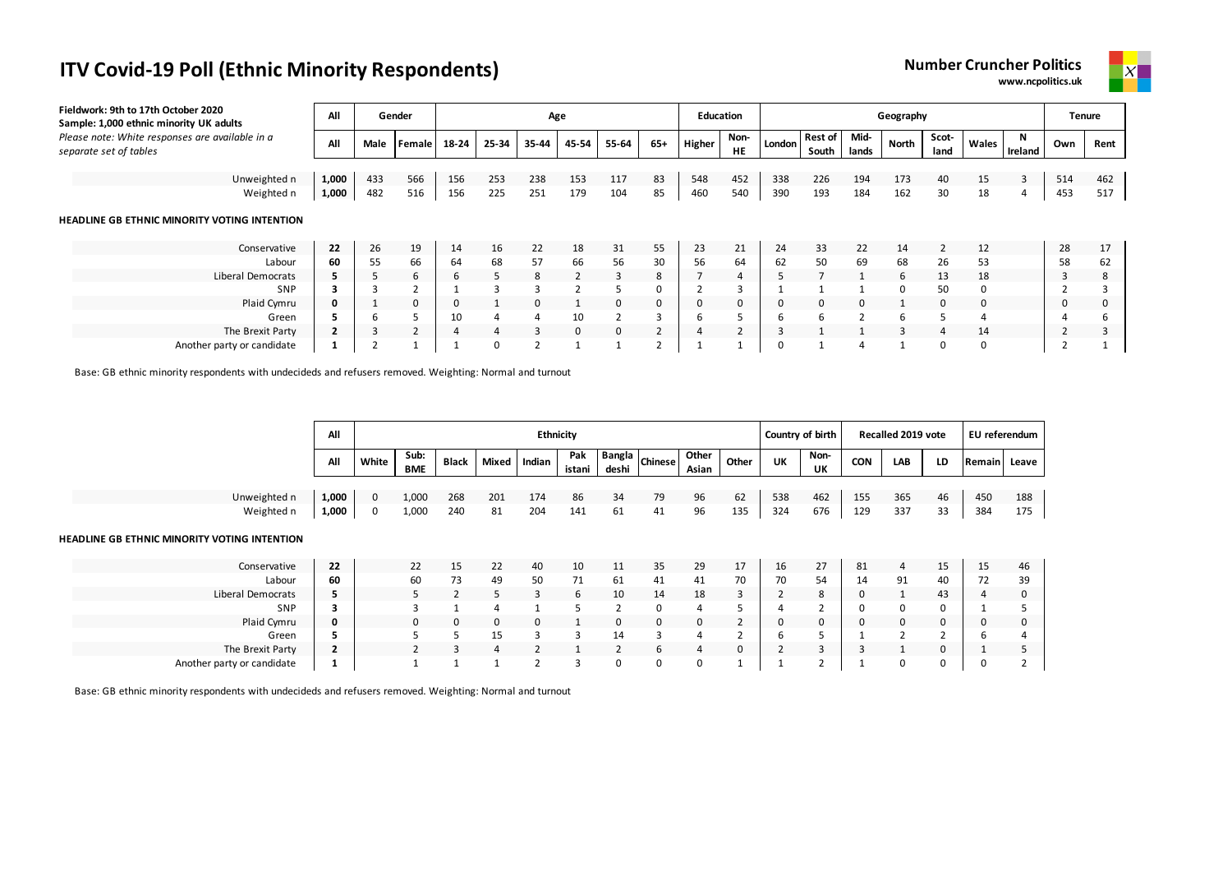**www.ncpolitics.uk**



| Fieldwork: 9th to 17th October 2020<br>Sample: 1,000 ethnic minority UK adults | All            |      | Gender |       |          | Age      |              |              |                |        | <b>Education</b> |        |                         |               | Geography    |               |          |         | <b>Tenure</b>  |      |
|--------------------------------------------------------------------------------|----------------|------|--------|-------|----------|----------|--------------|--------------|----------------|--------|------------------|--------|-------------------------|---------------|--------------|---------------|----------|---------|----------------|------|
| Please note: White responses are available in a<br>separate set of tables      | All            | Male | Female | 18-24 | 25-34    | 35-44    | 45-54        | 55-64        | 65+            | Higher | Non-<br>HE       | London | <b>Rest of</b><br>South | Mid-<br>lands | <b>North</b> | Scot-<br>land | Wales    | Ireland | Own            | Rent |
|                                                                                |                |      |        |       |          |          |              |              |                |        |                  |        |                         |               |              |               |          |         |                |      |
| Unweighted n                                                                   | 1,000          | 433  | 566    | 156   | 253      | 238      | 153          | 117          | 83             | 548    | 452              | 338    | 226                     | 194           | 173          | 40            | 15       | 3       | 514            | 462  |
| Weighted n                                                                     | 1,000          | 482  | 516    | 156   | 225      | 251      | 179          | 104          | 85             | 460    | 540              | 390    | 193                     | 184           | 162          | 30            | 18       | 4       | 453            | 517  |
| HEADLINE GB ETHNIC MINORITY VOTING INTENTION                                   |                |      |        |       |          |          |              |              |                |        |                  |        |                         |               |              |               |          |         |                |      |
| Conservative                                                                   | 22             | 26   | 19     | 14    | 16       | 22       | 18           | 31           | 55             | 23     | 21               | 24     | 33                      | 22            | 14           |               | 12       |         | 28             | 17   |
| Labour                                                                         | 60             | 55   | 66     | 64    | 68       | 57       | 66           | 56           | 30             | 56     | 64               | 62     | 50                      | 69            | 68           | 26            | 53       |         | 58             | 62   |
| Liberal Democrats                                                              | 5              |      | 6      | 6     |          | 8        | 2            | 3            | 8              |        | $\overline{4}$   |        |                         |               | 6            | 13            | 18       |         | 3              | 8    |
| SNP                                                                            | 3              |      |        |       |          |          |              |              | 0              |        | 3                |        |                         |               | 0            | 50            |          |         |                |      |
| Plaid Cymru                                                                    | 0              |      | 0      | 0     |          | $\Omega$ | $\mathbf{1}$ | 0            | 0              | 0      | 0                | 0      | $\Omega$                | 0             |              | $\mathbf{0}$  | $\Omega$ |         | 0              |      |
| Green                                                                          | 5              | 6    |        | 10    | 4        | 4        | 10           |              | 3              | ь      | כ                | 6      | 6                       | 2             | 6            | 5             |          |         | 4              |      |
| The Brexit Party                                                               | $\overline{2}$ | 3    | 2      | 4     | 4        | 3        | $\mathbf 0$  | $\mathbf{0}$ | $\overline{2}$ |        |                  | 3      |                         |               | 3            | 4             | 14       |         | $\overline{2}$ |      |
| Another party or candidate                                                     |                |      |        |       | $\Omega$ |          |              |              |                |        |                  | 0      |                         |               |              | $\Omega$      | $\Omega$ |         |                |      |

Base: GB ethnic minority respondents with undecideds and refusers removed. Weighting: Normal and turnout

|              | All   |       |                    |              |       | <b>Ethnicity</b> |               |                 |                |                |       | Country of birth |            |            | Recalled 2019 vote |    | EU referendum |       |
|--------------|-------|-------|--------------------|--------------|-------|------------------|---------------|-----------------|----------------|----------------|-------|------------------|------------|------------|--------------------|----|---------------|-------|
|              | All   | White | Sub:<br><b>BME</b> | <b>Black</b> | Mixed | Indian           | Pak<br>istani | Bangla<br>deshi | <b>Chinese</b> | Other<br>Asian | Other | UK               | Non-<br>UΚ | <b>CON</b> | LAB                | LD | <b>Remain</b> | Leave |
|              |       |       |                    |              |       |                  |               |                 |                |                |       |                  |            |            |                    |    |               |       |
| Unweighted n | 1,000 |       | 1,000              | 268          | 201   | 174              | 86            | 34              | 79             | 96             | 62    | 538              | 462        | 155        | 365                | 46 | 450           | 188   |
| Weighted n   | 1,000 | 0     | 1,000              | 240          | 81    | 204              | 141           | 61              | 41             | 96             | 135   | 324              | 676        | 129        | 337                | 33 | 384           | 175   |

#### **HEADLINE GB ETHNIC MINORITY VOTING INTENTION**

| Conservative               | 22              | 22 | سد |    | 40 | 10 | 11 | 35  | 29 | <b>. .</b> | 16 | 27 | 81 |    | دمد | 15 | 46 |
|----------------------------|-----------------|----|----|----|----|----|----|-----|----|------------|----|----|----|----|-----|----|----|
| Labour                     | 60              | 60 |    | 49 | 50 |    | 61 | -41 | 41 | 70         | 70 | 54 | 14 | 91 | 40  | 72 | 39 |
| Liberal Democrats          | э               |    |    |    |    |    | 10 | 14  | 18 |            |    |    |    |    | 43  |    |    |
| SNP                        | з               |    |    |    |    |    |    |     |    |            |    |    |    |    |     |    |    |
| Plaid Cymru                | 0               |    |    |    | O  |    |    |     |    |            |    |    |    |    |     |    |    |
| Green                      |                 |    |    |    |    |    |    |     |    |            |    |    |    |    |     |    |    |
| The Brexit Party           | -<br>$\epsilon$ |    |    |    |    |    |    |     |    |            |    |    |    |    |     |    |    |
| Another party or candidate |                 |    |    |    |    |    |    |     |    |            |    | ∸  |    |    |     |    |    |

Base: GB ethnic minority respondents with undecideds and refusers removed. Weighting: Normal and turnout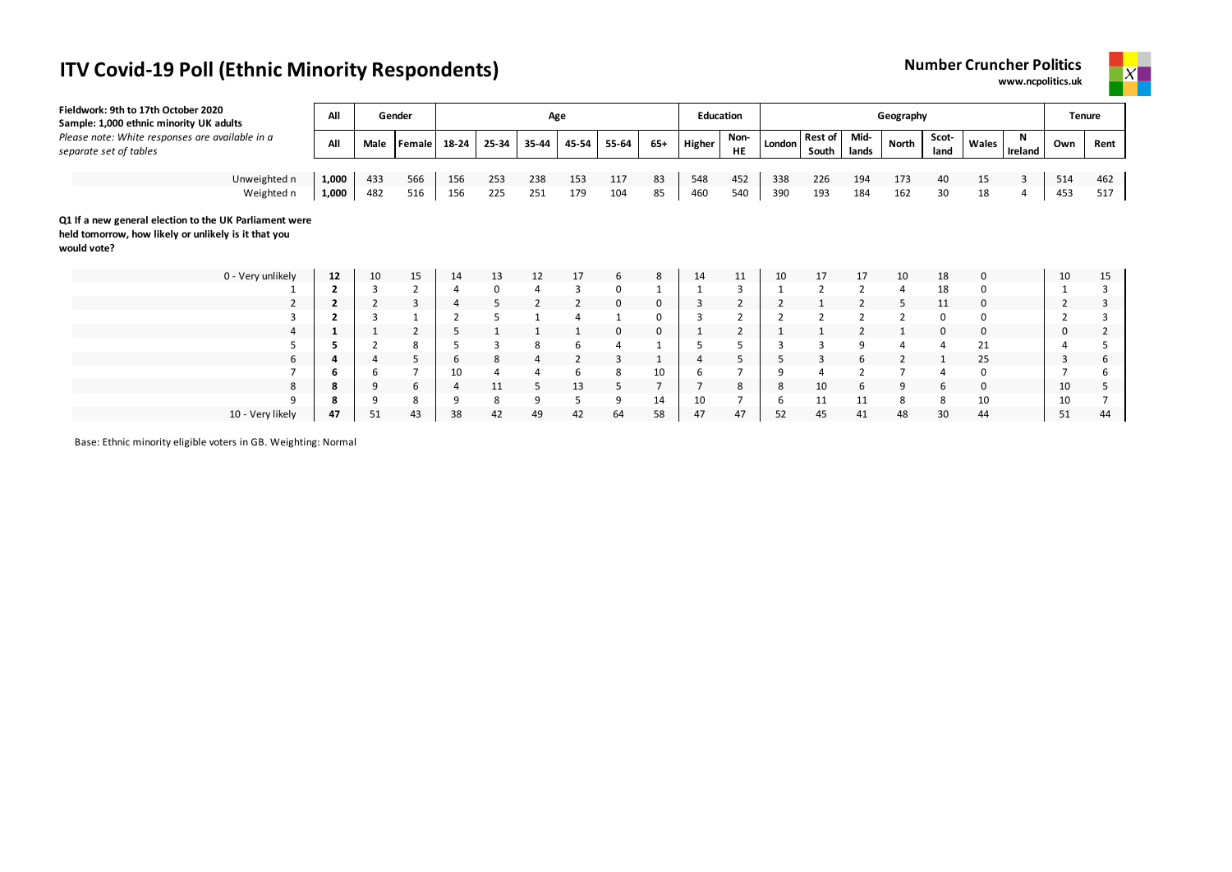# **ITV Covid-19 Poll (Ethnic Minority Respondents) Number 2 August 2 August 2 August 2 August 2 August 2 August 2 August 2 August 2 August 2 August 2 August 2 August 2 August 2 August 2 August 2 August 2 August 2 August 2**

| lumber Cruncher Politics |  |
|--------------------------|--|
| www.ncpolitics.uk        |  |



| Fieldwork: 9th to 17th October 2020<br>Sample: 1,000 ethnic minority UK adults                                                | All            |                | Gender         |       |       | Age   |       |                |                | <b>Education</b> |                   |        |                         |                | Geography      |               |          |              |                | <b>Tenure</b> |
|-------------------------------------------------------------------------------------------------------------------------------|----------------|----------------|----------------|-------|-------|-------|-------|----------------|----------------|------------------|-------------------|--------|-------------------------|----------------|----------------|---------------|----------|--------------|----------------|---------------|
| Please note: White responses are available in a<br>separate set of tables                                                     | All            | Male           | <b>Female</b>  | 18-24 | 25-34 | 35-44 | 45-54 | 55-64          | $65+$          | Higher           | Non-<br><b>HE</b> | London | <b>Rest of</b><br>South | Mid-<br>lands  | North          | Scot-<br>land | Wales    | N<br>Ireland | Own            | Rent          |
| Unweighted n                                                                                                                  | 1,000          | 433            | 566            | 156   | 253   | 238   | 153   | 117            | 83             | 548              | 452               | 338    | 226                     | 194            | 173            | 40            | 15       | 3            | 514            | 462           |
| Weighted n                                                                                                                    | 1,000          | 482            | 516            | 156   | 225   | 251   | 179   | 104            | 85             | 460              | 540               | 390    | 193                     | 184            | 162            | 30            | 18       | 4            | 453            | 517           |
| Q1 If a new general election to the UK Parliament were<br>held tomorrow, how likely or unlikely is it that you<br>would vote? |                |                |                |       |       |       |       |                |                |                  |                   |        |                         |                |                |               |          |              |                |               |
| 0 - Very unlikely                                                                                                             | 12             | 10             | 15             | 14    | 13    | 12    | 17    | 6              | 8              | 14               | 11                | 10     | 17                      | 17             | 10             | 18            | 0        |              | 10             | 15            |
|                                                                                                                               | $\overline{2}$ | $\overline{3}$ | $\overline{2}$ |       | 0     | 4     | 3     | 0              |                | 1                | 3                 |        | $\overline{2}$          | $\overline{2}$ | 4              | 18            | 0        |              |                |               |
| $\overline{2}$                                                                                                                | $\overline{2}$ | $\overline{2}$ | 3              |       | 5     | 2     | 2     | 0              | 0              | 3                | 2                 |        |                         |                | 5              | 11            | 0        |              | $\overline{2}$ |               |
|                                                                                                                               |                | 3              |                |       |       |       | 4     |                | 0              |                  | 2                 |        |                         | $\overline{2}$ | $\overline{2}$ | 0             | $\Omega$ |              |                |               |
| 4                                                                                                                             | 1              |                | $\overline{2}$ | 5     |       |       |       | 0              | 0              |                  | $\overline{2}$    |        |                         |                |                | 0             | 0        |              | 0              |               |
|                                                                                                                               |                |                | 8              |       | 3     | 8     | 6     | $\overline{4}$ |                | 5                |                   |        |                         | 9              |                | 4             | 21       |              |                |               |
| 6                                                                                                                             | 4              |                | 5              | 6     | 8     | 4     | 2     | 3              |                | 4                | 5                 |        |                         | 6              | $\mathcal{P}$  |               | 25       |              | $\overline{3}$ | h             |
|                                                                                                                               | 6              | 6              |                | 10    |       | 4     | 6     | 8              | 10             | 6                |                   | 9      |                         | $\overline{2}$ |                |               | $\Omega$ |              |                |               |
| 8                                                                                                                             | 8              | 9              | 6              |       | 11    | 5     | 13    | 5              | $\overline{7}$ |                  | 8                 | 8      | 10                      | 6              | 9              | 6             | 0        |              | 10             |               |
| 9                                                                                                                             | я              | 9              | 8              | q     | 8     | 9     | 5     | 9              | 14             | 10               |                   | -6     | 11                      | 11             | 8              | 8             | 10       |              | 10             |               |
| 10 - Very likely                                                                                                              | 47             | 51             | 43             | 38    | 42    | 49    | 42    | 64             | 58             | 47               | 47                | 52     | 45                      | 41             | 48             | 30            | 44       |              | 51             | 44            |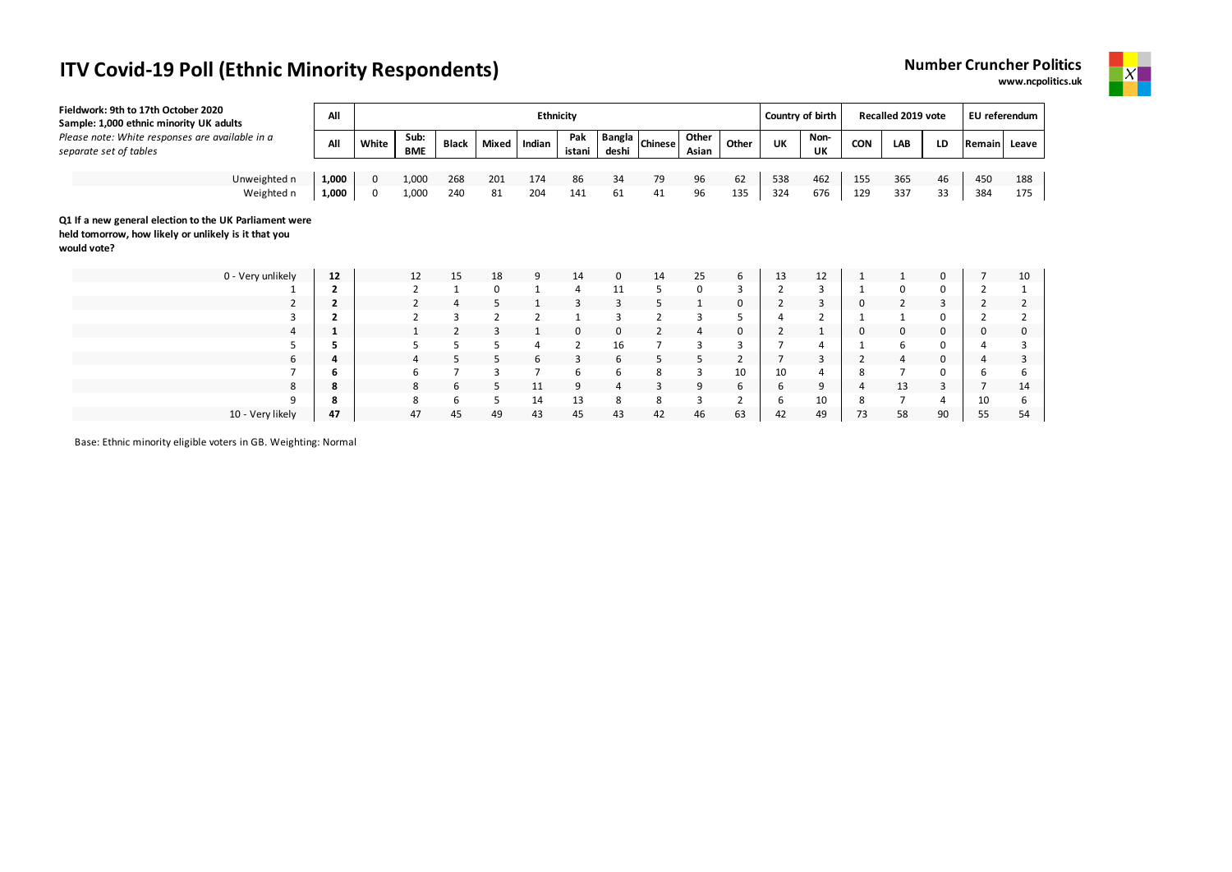

| Fieldwork: 9th to 17th October 2020<br>Sample: 1,000 ethnic minority UK adults | All            |             |                    |                |                | <b>Ethnicity</b> |                |       |                |                |                | Country of birth |                |            | Recalled 2019 vote |          | EU referendum  |       |
|--------------------------------------------------------------------------------|----------------|-------------|--------------------|----------------|----------------|------------------|----------------|-------|----------------|----------------|----------------|------------------|----------------|------------|--------------------|----------|----------------|-------|
| Please note: White responses are available in a<br>separate set of tables      | All            | White       | Sub:<br><b>BME</b> | <b>Black</b>   | Mixed          | Indian           | Pak<br>istani  | deshi | Bangla Chinese | Other<br>Asian | Other          | UK               | Non-<br>UK     | <b>CON</b> | LAB                | LD       | Remain         | Leave |
|                                                                                |                |             |                    |                |                |                  |                |       |                |                |                |                  |                |            |                    |          |                |       |
| Unweighted n                                                                   | 1,000          | $\mathbf 0$ | 1,000              | 268            | 201            | 174              | 86             | 34    | 79             | 96             | 62             | 538              | 462            | 155        | 365                | 46       | 450            | 188   |
| Weighted n                                                                     | 1,000          | 0           | 1,000              | 240            | 81             | 204              | 141            | 61    | 41             | 96             | 135            | 324              | 676            | 129        | 337                | 33       | 384            | 175   |
| Q1 If a new general election to the UK Parliament were                         |                |             |                    |                |                |                  |                |       |                |                |                |                  |                |            |                    |          |                |       |
| held tomorrow, how likely or unlikely is it that you<br>would vote?            |                |             |                    |                |                |                  |                |       |                |                |                |                  |                |            |                    |          |                |       |
| 0 - Very unlikely                                                              | 12             |             | 12                 | 15             | 18             | 9                | 14             | 0     | 14             | 25             | 6              | 13               | 12             |            |                    | 0        |                | 10    |
|                                                                                | 2              |             | $\overline{2}$     |                | 0              | $\mathbf{1}$     | 4              | 11    | 5              | 0              | 3              | $\overline{2}$   | 3              |            | 0                  | 0        |                |       |
| 2                                                                              | $\overline{2}$ |             |                    | $\overline{4}$ | 5              | $\mathbf{1}$     | 3              | 3     | 5              | 1              | $\mathbf 0$    |                  | 3              | 0          | $\overline{2}$     | 3        | $\overline{2}$ |       |
| 3                                                                              |                |             |                    | 3              | $\overline{2}$ | 2                |                | 3     | $\overline{2}$ | 3              | 5              |                  | $\overline{2}$ |            |                    | $\Omega$ |                |       |
|                                                                                |                |             |                    | 2              |                |                  | 0              | 0     | $\overline{2}$ | 4              | 0              |                  |                | 0          | 0                  | 0        | 0              |       |
|                                                                                | ב              |             |                    | 5              | 5              | 4                | $\overline{2}$ | 16    | $\overline{7}$ | 3              | 3              |                  |                |            | 6                  | $\Omega$ |                |       |
| 6                                                                              | 4              |             |                    | 5              | 5              | 6                | 3              | 6     | 5              | 5              | $\overline{2}$ |                  | 3              | 2          | 4                  | 0        | $\overline{4}$ | 3     |
|                                                                                | ь              |             | 6                  |                | 3              | 7                | 6              | 6     | 8              | 3              | 10             | 10               |                | 8          | $\overline{7}$     | $\Omega$ | 6              | ь     |
| 8                                                                              | 8              |             | 8                  | 6              | 5              | 11               | 9              | 4     | 3              | 9              | 6              | 6                | 9              |            | 13                 | 3        |                | 14    |
| q                                                                              | 8              |             | 8                  | 6              | 5              | 14               | 13             | 8     | 8              | 3              | 2              | 6                | 10             | 8          | $\overline{7}$     | 4        | 10             | h     |
| 10 - Very likely                                                               | 47             |             | 47                 | 45             | 49             | 43               | 45             | 43    | 42             | 46             | 63             | 42               | 49             | 73         | 58                 | 90       | 55             | 54    |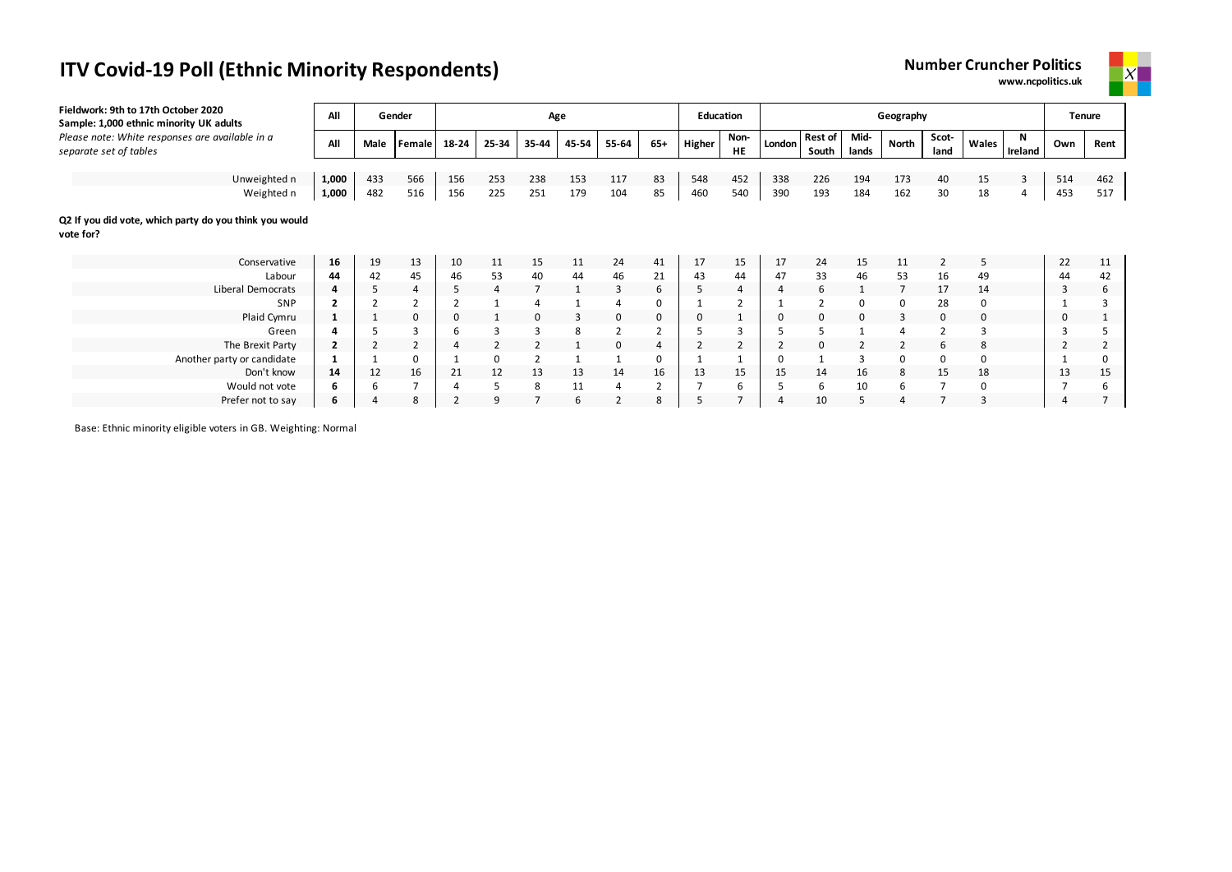# **ITV Covid-19 Poll (Ethnic Minority Respondents) Number 2 August 2 August 2 August 2 August 2 August 2 August 2 Au**

| umber Cruncher Politics |                   |
|-------------------------|-------------------|
|                         | www.ncpolitics.uk |



| Fieldwork: 9th to 17th October 2020<br>Sample: 1,000 ethnic minority UK adults | All            |      | Gender         |          |          | Age            |       |                          |          | <b>Education</b> |                   |                |                         |               | Geography |               |              |                | Tenure      |      |
|--------------------------------------------------------------------------------|----------------|------|----------------|----------|----------|----------------|-------|--------------------------|----------|------------------|-------------------|----------------|-------------------------|---------------|-----------|---------------|--------------|----------------|-------------|------|
| Please note: White responses are available in a<br>separate set of tables      | All            | Male | Female         | 18-24    | 25-34    | 35-44          | 45-54 | 55-64                    | 65+      | Higher           | Non-<br><b>HE</b> | London         | <b>Rest of</b><br>South | Mid-<br>lands | North     | Scot-<br>land | Wales        | N<br>Ireland   | Own         | Rent |
|                                                                                |                |      |                |          |          |                |       |                          |          |                  |                   |                |                         |               |           |               |              |                |             |      |
| Unweighted n                                                                   | 1,000          | 433  | 566            | 156      | 253      | 238            | 153   | 117                      | 83       | 548              | 452               | 338            | 226                     | 194           | 173       | 40            | 15           | $\overline{3}$ | 514         | 462  |
| Weighted n                                                                     | 1,000          | 482  | 516            | 156      | 225      | 251            | 179   | 104                      | 85       | 460              | 540               | 390            | 193                     | 184           | 162       | 30            | 18           | 4              | 453         | 517  |
| Q2 If you did vote, which party do you think you would<br>vote for?            |                |      |                |          |          |                |       |                          |          |                  |                   |                |                         |               |           |               |              |                |             |      |
| Conservative                                                                   | 16             | 19   | 13             | 10       | 11       | 15             | 11    | 24                       | 41       | 17               | 15                | 17             | 24                      | 15            | 11        | 2             | 5            |                | 22          | 11   |
| Labour                                                                         | 44             | 42   | 45             | 46       | 53       | 40             | 44    | 46                       | 21       | 43               | 44                | 47             | 33                      | 46            | 53        | 16            | 49           |                | 44          | 42   |
| Liberal Democrats                                                              |                | 5    |                | 5        | 4        | $\overline{7}$ |       | 3                        | 6        |                  | $\overline{4}$    | 4              | 6                       |               |           | 17            | 14           |                | 3           | ь    |
| SNP                                                                            |                |      |                |          |          |                |       |                          | $\Omega$ |                  |                   |                | $\overline{2}$          | 0             | $\Omega$  | 28            | <sup>0</sup> |                |             |      |
| Plaid Cymru                                                                    |                |      | 0              | $\Omega$ |          | 0              | 3     | 0                        | 0        |                  |                   | 0              | 0                       | $\mathbf 0$   | 3         | $\mathbf 0$   | 0            |                | $\mathbf 0$ |      |
| Green                                                                          |                | 5    | 3              | 6        | 3        | 3              | 8     |                          |          | 5                | 3                 |                | 5                       |               |           |               | 3            |                | 3           |      |
| The Brexit Party                                                               | $\overline{2}$ | 2    | $\overline{2}$ |          | 2        |                |       | $\Omega$                 | 4        | 2                |                   | $\overline{2}$ | 0                       |               |           | 6             | 8            |                | 2           | ∠    |
| Another party or candidate                                                     |                |      |                |          | $\Omega$ | $\overline{2}$ | 1     |                          | 0        |                  |                   | $\Omega$       |                         | 3             | $\Omega$  | 0             | 0            |                |             | 0    |
| Don't know                                                                     | 14             | 12   | 16             | 21       | 12       | 13             | 13    | 14                       | 16       | 13               | 15                | 15             | 14                      | 16            | 8         | 15            | 18           |                | 13          | 15   |
| Would not vote                                                                 | 6              | 6    |                |          | 5        | 8              | 11    | 4                        | 2        |                  | 6                 |                | 6                       | 10            |           |               | $\Omega$     |                |             | ь    |
| Prefer not to say                                                              | 6              |      | 8              |          | 9        |                | 6     | $\overline{\phantom{0}}$ | 8        |                  | $\overline{ }$    | $\overline{4}$ | 10                      | 5             |           |               | 3            |                |             |      |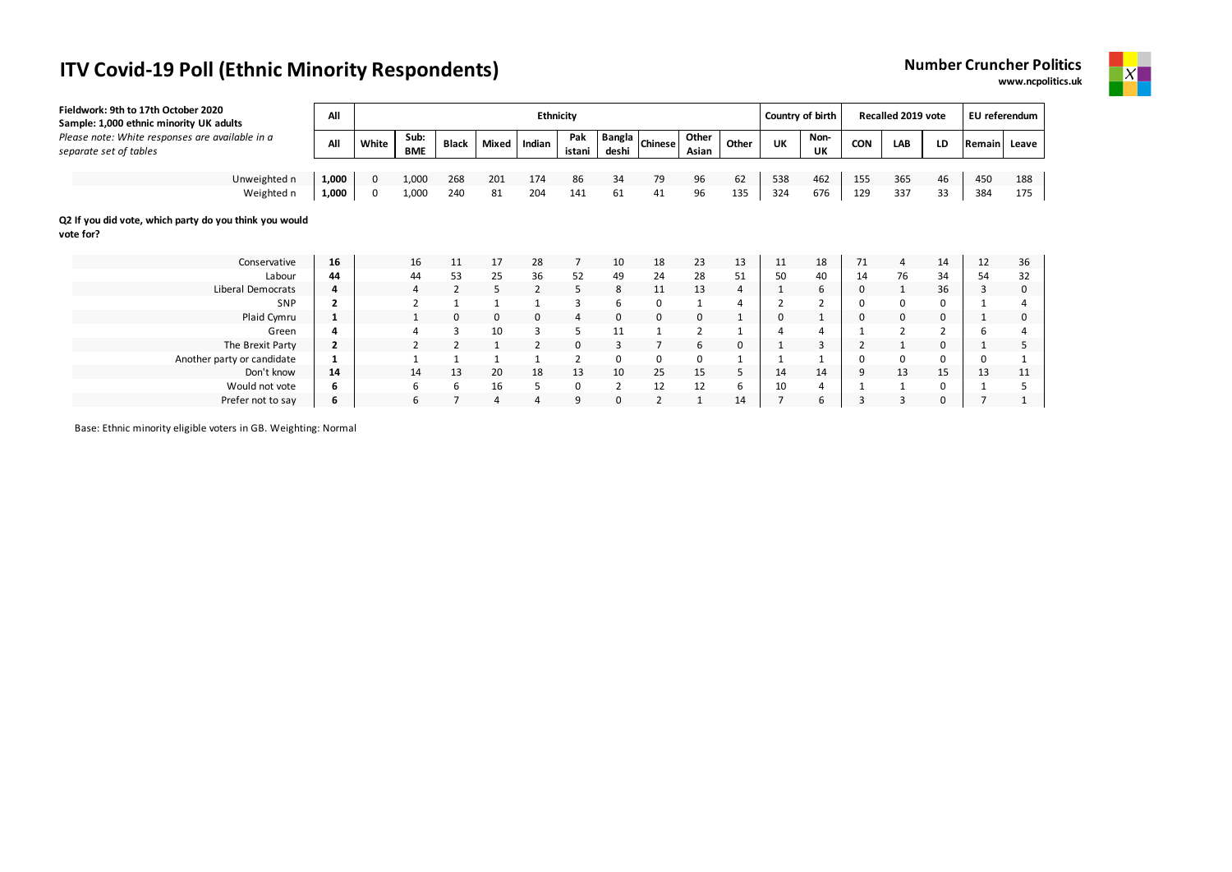# **ITV Covid-19 Poll (Ethnic Minority Respondents)**

| Number Cruncher Politics |
|--------------------------|
| www.ncpolitics.uk        |



| Fieldwork: 9th to 17th October 2020<br>Sample: 1,000 ethnic minority UK adults | All            |       |                    |                |                | Ethnicity      |                |                 |                |                |                | Country of birth |            |     | Recalled 2019 vote |    | EU referendum |          |
|--------------------------------------------------------------------------------|----------------|-------|--------------------|----------------|----------------|----------------|----------------|-----------------|----------------|----------------|----------------|------------------|------------|-----|--------------------|----|---------------|----------|
| Please note: White responses are available in a<br>separate set of tables      | All            | White | Sub:<br><b>BME</b> | <b>Black</b>   | Mixed          | Indian         | Pak<br>istani  | Bangla<br>deshi | <b>Chinese</b> | Other<br>Asian | Other          | UK               | Non-<br>UK | CON | LAB                | LD | Remain        | Leave    |
|                                                                                |                |       |                    |                |                |                |                |                 |                |                |                |                  |            |     |                    |    |               |          |
| Unweighted n                                                                   | 1,000          | 0     | 1,000              | 268            | 201            | 174            | 86             | 34              | 79             | 96             | 62             | 538              | 462        | 155 | 365                | 46 | 450           | 188      |
| Weighted n                                                                     | 1,000          | 0     | 1,000              | 240            | 81             | 204            | 141            | 61              | 41             | 96             | 135            | 324              | 676        | 129 | 337                | 33 | 384           | 175      |
| Q2 If you did vote, which party do you think you would<br>vote for?            |                |       |                    |                |                |                |                |                 |                |                |                |                  |            |     |                    |    |               |          |
| Conservative                                                                   | 16             |       | 16                 | 11             | 17             | 28             | $\overline{7}$ | 10              | 18             | 23             | 13             | 11               | 18         | 71  | 4                  | 14 | 12            | 36       |
| Labour                                                                         | 44             |       | 44                 | 53             | 25             | 36             | 52             | 49              | 24             | 28             | 51             | 50               | 40         | 14  | 76                 | 34 | 54            | 32       |
| <b>Liberal Democrats</b>                                                       | 4              |       | 4                  | 2              | 5              | 2              | 5              | 8               | 11             | 13             | $\overline{4}$ |                  | 6          |     | $\mathbf{1}$       | 36 | 3             | $\Omega$ |
| SNP                                                                            | $\overline{2}$ |       |                    | 1              |                |                |                | 6               | 0              |                | Δ              |                  |            |     | 0                  |    |               |          |
| Plaid Cymru                                                                    |                |       |                    | 0              | 0              | 0              | 4              | 0               | 0              | 0              |                | 0                | 1          |     | 0                  | 0  | 1             |          |
| Green                                                                          | 4              |       |                    | $\overline{3}$ | 10             | 3              | 5              | 11              |                | $\overline{2}$ |                |                  | 4          |     | $\overline{2}$     | 2  | 6             |          |
| The Brexit Party                                                               | 2              |       |                    |                |                | $\overline{2}$ | 0              | 3               |                | 6              | $\mathbf 0$    |                  | 3          |     |                    | 0  | 1             |          |
| Another party or candidate                                                     |                |       |                    | $\mathbf{1}$   |                | $\mathbf{1}$   |                | 0               | 0              | 0              |                |                  |            |     | 0                  |    | 0             |          |
| Don't know                                                                     | 14             |       | 14                 | 13             | 20             | 18             | 13             | 10              | 25             | 15             | 5              | 14               | 14         | 9   | 13                 | 15 | 13            | 11       |
| Would not vote                                                                 | 6              |       | 6                  | 6              | 16             | 5              | 0              | $\overline{2}$  | 12             | 12             | 6              | 10               | 4          |     |                    |    |               |          |
| Prefer not to say                                                              | 6              |       | 6                  | $\overline{7}$ | $\overline{4}$ | $\overline{a}$ | 9              | 0               | $\overline{2}$ |                | 14             |                  | 6          |     | 3                  | 0  |               |          |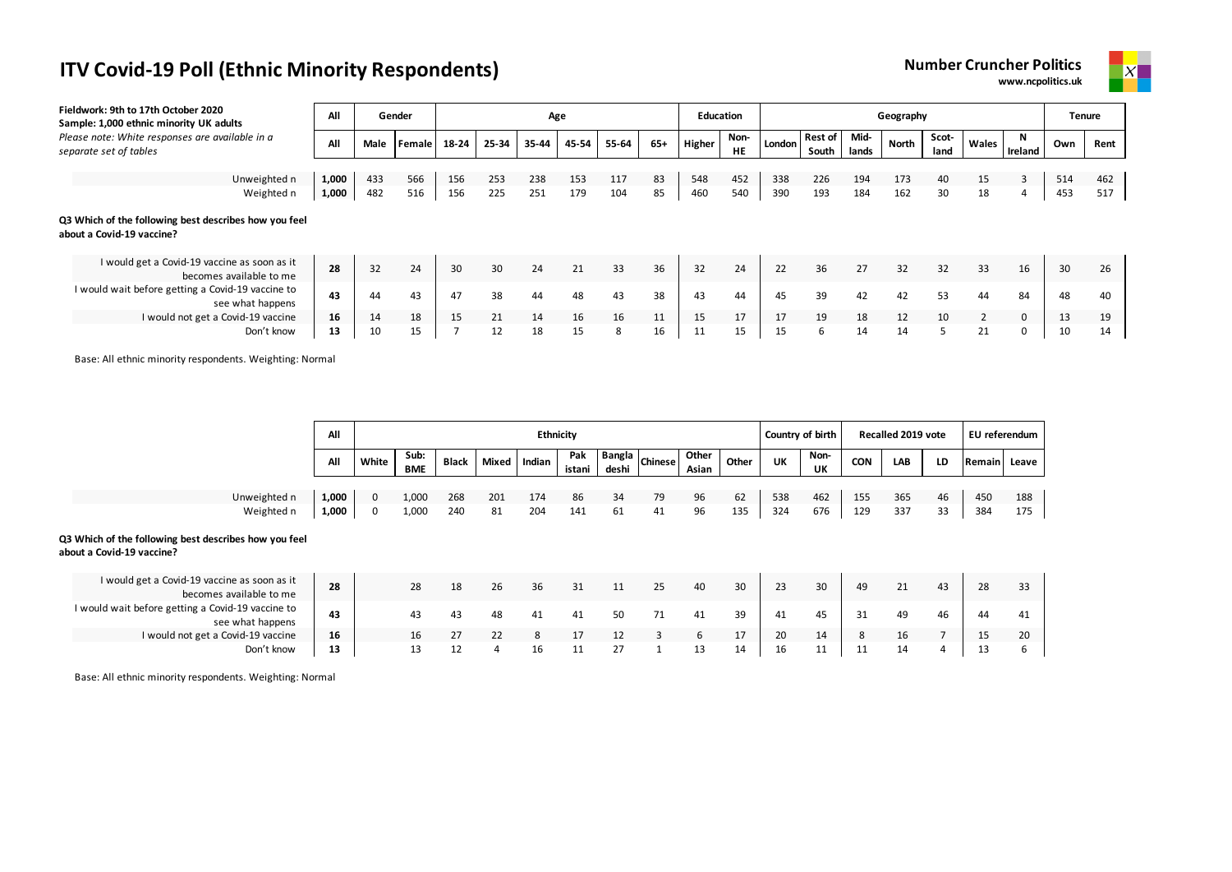

| Fieldwork: 9th to 17th October 2020 | Sample: 1,000 ethnic minority UK adults                                 | All   |      | Gender |       |       | Age   |       |       |       | <b>Education</b> |            |        |                         |               | Geography |               |       |          |     | <b>Tenure</b> |
|-------------------------------------|-------------------------------------------------------------------------|-------|------|--------|-------|-------|-------|-------|-------|-------|------------------|------------|--------|-------------------------|---------------|-----------|---------------|-------|----------|-----|---------------|
| separate set of tables              | Please note: White responses are available in a                         | All   | Male | Female | 18-24 | 25-34 | 35-44 | 45-54 | 55-64 | $65+$ | Higher           | Non-<br>HE | London | <b>Rest of</b><br>South | Mid-<br>lands | North     | Scot-<br>land | Wales | Ireland  | Own | Rent          |
|                                     |                                                                         |       |      |        |       |       |       |       |       |       |                  |            |        |                         |               |           |               |       |          |     |               |
|                                     | Unweighted n                                                            | 1,000 | 433  | 566    | 156   | 253   | 238   | 153   | 117   | 83    | 548              | 452        | 338    | 226                     | 194           | 173       | 40            | 15    | 3        | 514 | 462           |
|                                     | Weighted n                                                              | 1,000 | 482  | 516    | 156   | 225   | 251   | 179   | 104   | 85    | 460              | 540        | 390    | 193                     | 184           | 162       | 30            | 18    | 4        | 453 | 517           |
| about a Covid-19 vaccine?           | Q3 Which of the following best describes how you feel                   |       |      |        |       |       |       |       |       |       |                  |            |        |                         |               |           |               |       |          |     |               |
|                                     | I would get a Covid-19 vaccine as soon as it<br>becomes available to me | 28    | 32   | 24     | 30    | 30    | 24    | 21    | 33    | 36    | 32               | 24         | 22     | 36                      | 27            | 32        | 32            | 33    | 16       | 30  | 26            |
|                                     | I would wait before getting a Covid-19 vaccine to<br>see what happens   | 43    | 44   | 43     | 47    | 38    | 44    | 48    | 43    | 38    | 43               | 44         | 45     | 39                      | 42            | 42        | 53            | 44    | 84       | 48  | 40            |
|                                     | I would not get a Covid-19 vaccine                                      | 16    | 14   | 18     | 15    | 21    | 14    | 16    | 16    | 11    | 15               | 17         | 17     | 19                      | 18            | 12        | 10            |       | $\Omega$ | 13  | 19            |
|                                     | Don't know                                                              | 13    | 10   | 15     |       | 12    | 18    | 15    | 8     | 16    | 11               | 15         | 15     | 6                       | 14            | 14        |               | 21    |          | 10  | 14            |

Base: All ethnic minority respondents. Weighting: Normal

|                                                                                    | All   |       |                    |              |       | Ethnicity |               |       |                 |                |       |     | Country of birth  |            | Recalled 2019 vote |    | EU referendum |       |
|------------------------------------------------------------------------------------|-------|-------|--------------------|--------------|-------|-----------|---------------|-------|-----------------|----------------|-------|-----|-------------------|------------|--------------------|----|---------------|-------|
|                                                                                    | All   | White | Sub:<br><b>BME</b> | <b>Black</b> | Mixed | Indian    | Pak<br>istani | deshi | Bangla Chinesel | Other<br>Asian | Other | UK  | Non-<br><b>UK</b> | <b>CON</b> | LAB                | LD | Remain        | Leave |
|                                                                                    |       |       |                    |              |       |           |               |       |                 |                |       |     |                   |            |                    |    |               |       |
| Unweighted n                                                                       | 1,000 | 0     | 1,000              | 268          | 201   | 174       | 86            | 34    | 79              | 96             | 62    | 538 | 462               | 155        | 365                | 46 | 450           | 188   |
| Weighted n                                                                         | 1,000 | 0     | 1,000              | 240          | 81    | 204       | 141           | 61    | 41              | 96             | 135   | 324 | 676               | 129        | 337                | 33 | 384           | 175   |
| Q3 Which of the following best describes how you feel<br>about a Covid-19 vaccine? |       |       |                    |              |       |           |               |       |                 |                |       |     |                   |            |                    |    |               |       |
| I would get a Covid-19 vaccine as soon as it<br>becomes available to me            | 28    |       | 28                 | 18           | 26    | 36        | 31            | 11    | 25              | 40             | 30    | 23  | 30                | 49         | 21                 | 43 | 28            | 33    |
| I would wait before getting a Covid-19 vaccine to<br>see what happens              | 43    |       | 43                 | 43           | 48    | 41        | 41            | 50    | 71              | 41             | 39    | 41  | 45                | 31         | 49                 | 46 | 44            | 41    |
| I would not get a Covid-19 vaccine                                                 | 16    |       | 16                 | 27           | 22    | 8         | 17            | 12    | 3               | 6              | 17    | 20  | 14                | 8          | 16                 |    | 15            | 20    |
| Don't know                                                                         | 13    |       | 13                 | 12           | 4     | 16        | 11            | 27    |                 | 13             | 14    | 16  | 11                | 11         | 14                 | 4  | 13            | ь     |

Base: All ethnic minority respondents. Weighting: Normal